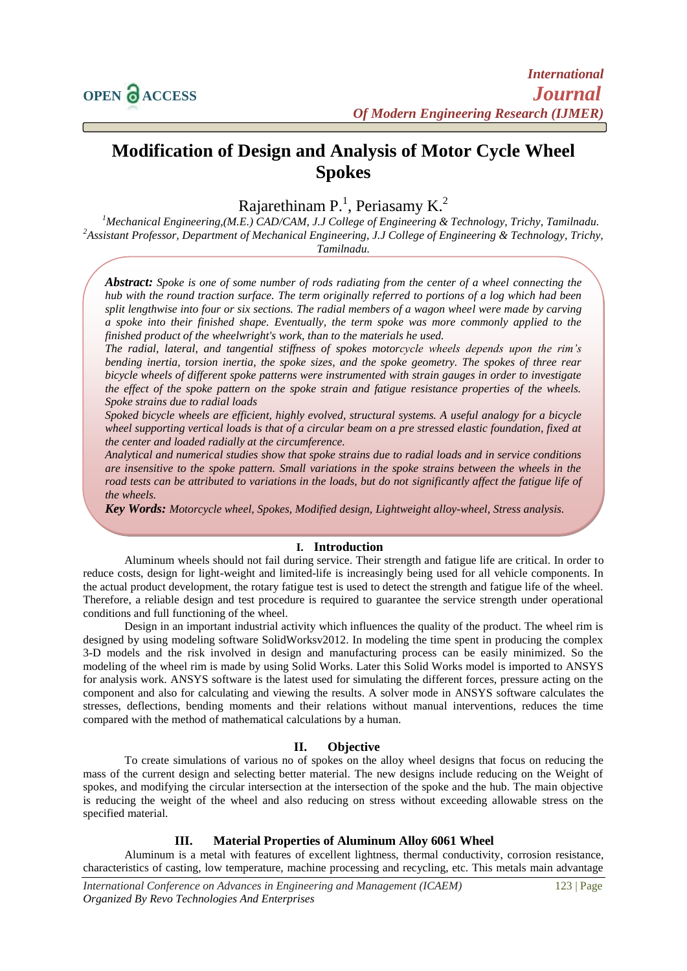# **Modification of Design and Analysis of Motor Cycle Wheel Spokes**

Rajarethinam P.<sup>1</sup>, Periasamy K.<sup>2</sup>

*<sup>1</sup>Mechanical Engineering,(M.E.) CAD/CAM, J.J College of Engineering & Technology, Trichy, Tamilnadu. <sup>2</sup>Assistant Professor, Department of Mechanical Engineering, J.J College of Engineering & Technology, Trichy, Tamilnadu.*

*Abstract: Spoke is one of some number of rods radiating from the center of a wheel connecting the hub with the round traction surface. The term originally referred to portions of a log which had been split lengthwise into four or six sections. The radial members of a wagon wheel were made by carving a spoke into their finished shape. Eventually, the term spoke was more commonly applied to the finished product of the wheelwright's work, than to the materials he used.*

*The radial, lateral, and tangential stiffness of spokes motorcycle wheels depends upon the rim's bending inertia, torsion inertia, the spoke sizes, and the spoke geometry. The spokes of three rear bicycle wheels of different spoke patterns were instrumented with strain gauges in order to investigate the effect of the spoke pattern on the spoke strain and fatigue resistance properties of the wheels. Spoke strains due to radial loads* 

*Spoked bicycle wheels are efficient, highly evolved, structural systems. A useful analogy for a bicycle wheel supporting vertical loads is that of a circular beam on a pre stressed elastic foundation, fixed at the center and loaded radially at the circumference.* 

*Analytical and numerical studies show that spoke strains due to radial loads and in service conditions are insensitive to the spoke pattern. Small variations in the spoke strains between the wheels in the road tests can be attributed to variations in the loads, but do not significantly affect the fatigue life of the wheels.*

*Key Words: Motorcycle wheel, Spokes, Modified design, Lightweight alloy-wheel, Stress analysis.*

#### **I. Introduction**

Aluminum wheels should not fail during service. Their strength and fatigue life are critical. In order to reduce costs, design for light-weight and limited-life is increasingly being used for all vehicle components. In the actual product development, the rotary fatigue test is used to detect the strength and fatigue life of the wheel. Therefore, a reliable design and test procedure is required to guarantee the service strength under operational conditions and full functioning of the wheel.

Design in an important industrial activity which influences the quality of the product. The wheel rim is designed by using modeling software SolidWorksv2012. In modeling the time spent in producing the complex 3-D models and the risk involved in design and manufacturing process can be easily minimized. So the modeling of the wheel rim is made by using Solid Works. Later this Solid Works model is imported to ANSYS for analysis work. ANSYS software is the latest used for simulating the different forces, pressure acting on the component and also for calculating and viewing the results. A solver mode in ANSYS software calculates the stresses, deflections, bending moments and their relations without manual interventions, reduces the time compared with the method of mathematical calculations by a human.

#### **II. Objective**

To create simulations of various no of spokes on the alloy wheel designs that focus on reducing the mass of the current design and selecting better material. The new designs include reducing on the Weight of spokes, and modifying the circular intersection at the intersection of the spoke and the hub. The main objective is reducing the weight of the wheel and also reducing on stress without exceeding allowable stress on the specified material.

## **III. Material Properties of Aluminum Alloy 6061 Wheel**

Aluminum is a metal with features of excellent lightness, thermal conductivity, corrosion resistance, characteristics of casting, low temperature, machine processing and recycling, etc. This metals main advantage

*International Conference on Advances in Engineering and Management (ICAEM)* 123 | Page *Organized By Revo Technologies And Enterprises*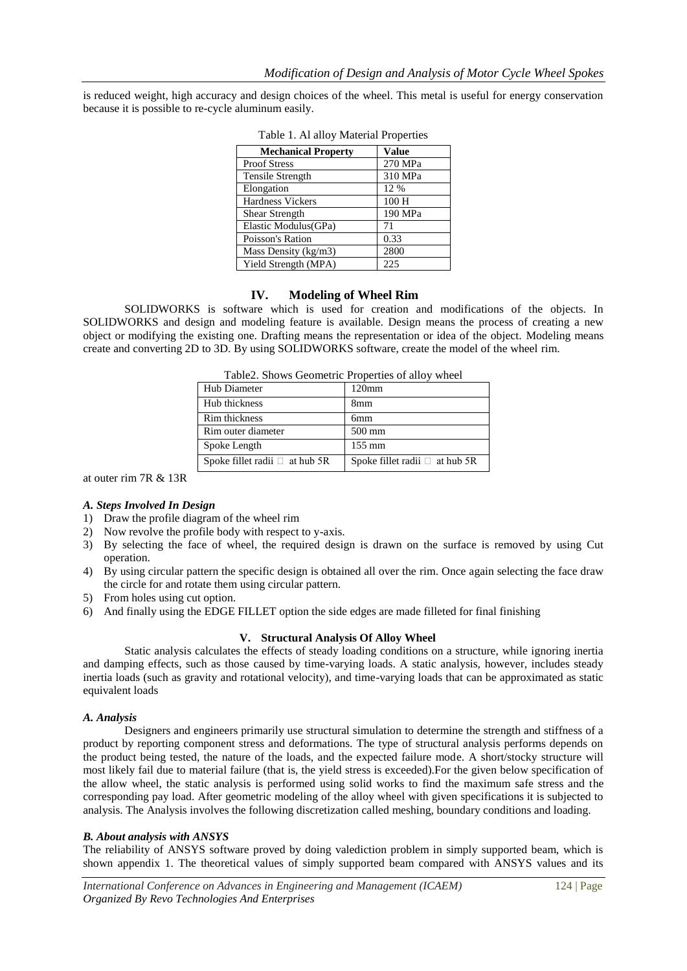is reduced weight, high accuracy and design choices of the wheel. This metal is useful for energy conservation because it is possible to re-cycle aluminum easily.

| <b>Mechanical Property</b> | Value   |
|----------------------------|---------|
| <b>Proof Stress</b>        | 270 MPa |
| Tensile Strength           | 310 MPa |
| Elongation                 | 12 %    |
| <b>Hardness Vickers</b>    | 100 H   |
| Shear Strength             | 190 MPa |
| Elastic Modulus(GPa)       | 71      |
| Poisson's Ration           | 0.33    |
| Mass Density (kg/m3)       | 2800    |
| Yield Strength (MPA)       | 225     |

Table 1. Al alloy Material Properties

## **IV. Modeling of Wheel Rim**

SOLIDWORKS is software which is used for creation and modifications of the objects. In SOLIDWORKS and design and modeling feature is available. Design means the process of creating a new object or modifying the existing one. Drafting means the representation or idea of the object. Modeling means create and converting 2D to 3D. By using SOLIDWORKS software, create the model of the wheel rim.

| Table2. Shows Geometric Properties of alloy wheel |                                     |  |
|---------------------------------------------------|-------------------------------------|--|
| Hub Diameter                                      | 120 <sub>mm</sub>                   |  |
| Hub thickness                                     | 8 <sub>mm</sub>                     |  |
| Rim thickness                                     | 6 <sub>mm</sub>                     |  |
| Rim outer diameter                                | $500$ mm                            |  |
| Spoke Length                                      | $155 \text{ mm}$                    |  |
| Spoke fillet radii $\Box$ at hub 5R               | Spoke fillet radii $\Box$ at hub 5R |  |

at outer rim 7R & 13R

#### *A. Steps Involved In Design*

- 1) Draw the profile diagram of the wheel rim
- 2) Now revolve the profile body with respect to y-axis.
- 3) By selecting the face of wheel, the required design is drawn on the surface is removed by using Cut operation.
- 4) By using circular pattern the specific design is obtained all over the rim. Once again selecting the face draw the circle for and rotate them using circular pattern.
- 5) From holes using cut option.
- 6) And finally using the EDGE FILLET option the side edges are made filleted for final finishing

### **V. Structural Analysis Of Alloy Wheel**

Static analysis calculates the effects of steady loading conditions on a structure, while ignoring inertia and damping effects, such as those caused by time-varying loads. A static analysis, however, includes steady inertia loads (such as gravity and rotational velocity), and time-varying loads that can be approximated as static equivalent loads

#### *A. Analysis*

Designers and engineers primarily use structural simulation to determine the strength and stiffness of a product by reporting component stress and deformations. The type of structural analysis performs depends on the product being tested, the nature of the loads, and the expected failure mode. A short/stocky structure will most likely fail due to material failure (that is, the yield stress is exceeded).For the given below specification of the allow wheel, the static analysis is performed using solid works to find the maximum safe stress and the corresponding pay load. After geometric modeling of the alloy wheel with given specifications it is subjected to analysis. The Analysis involves the following discretization called meshing, boundary conditions and loading.

#### *B. About analysis with ANSYS*

The reliability of ANSYS software proved by doing valediction problem in simply supported beam, which is shown appendix 1. The theoretical values of simply supported beam compared with ANSYS values and its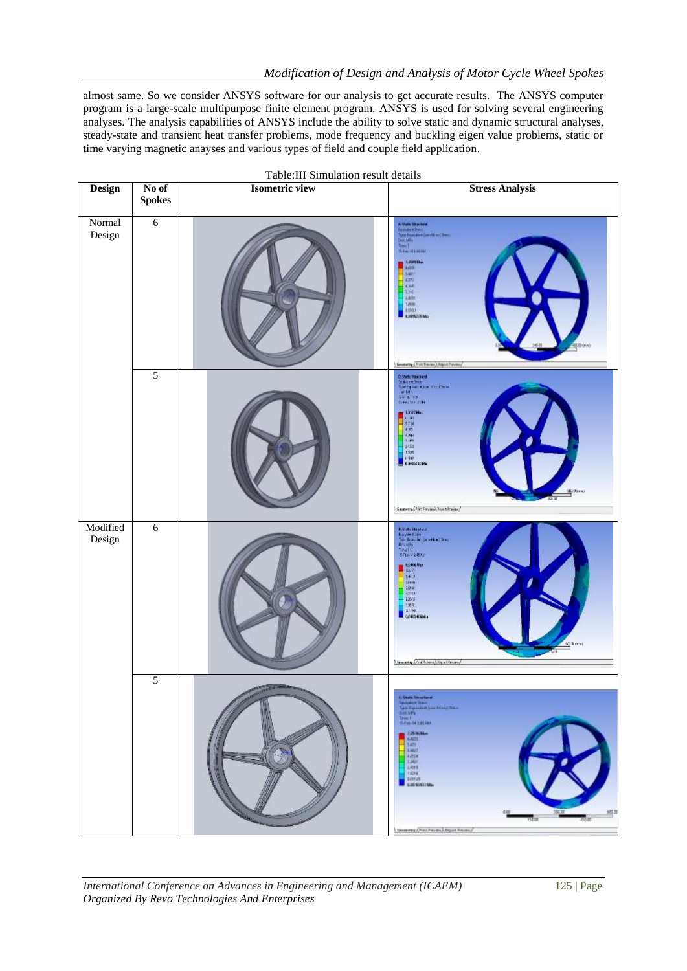almost same. So we consider ANSYS software for our analysis to get accurate results. The ANSYS computer program is a large-scale multipurpose finite element program. ANSYS is used for solving several engineering analyses. The analysis capabilities of ANSYS include the ability to solve static and dynamic structural analyses, steady-state and transient heat transfer problems, mode frequency and buckling eigen value problems, static or time varying magnetic anayses and various types of field and couple field application.

|                    | Table: III Simulation result details |                       |                                                                                                                                                                                                                                                                                                                                                                                                                                                                                                                                                                                                                                                                                                                                                                                             |  |  |
|--------------------|--------------------------------------|-----------------------|---------------------------------------------------------------------------------------------------------------------------------------------------------------------------------------------------------------------------------------------------------------------------------------------------------------------------------------------------------------------------------------------------------------------------------------------------------------------------------------------------------------------------------------------------------------------------------------------------------------------------------------------------------------------------------------------------------------------------------------------------------------------------------------------|--|--|
| Design             | No of<br><b>Spokes</b>               | <b>Isometric view</b> | <b>Stress Analysis</b>                                                                                                                                                                                                                                                                                                                                                                                                                                                                                                                                                                                                                                                                                                                                                                      |  |  |
| Normal<br>Design   | $\sqrt{6}$                           |                       | $K$ Units his second $\begin{array}{l} \mbox{I}\{x\}=\mbox{I}\{x\}=\mbox{I}\{x\}=\mbox{I}\{x\}=\mbox{I}\{x\}=\mbox{I}\{x\}=\mbox{I}\{x\}=\mbox{I}\{x\}=\mbox{I}\{x\}=\mbox{I}\{x\}=\mbox{I}\{x\}=\mbox{I}\{x\}=\mbox{I}\{x\}=\mbox{I}\{x\}=\mbox{I}\{x\}=\mbox{I}\{x\}=\mbox{I}\{x\}=\mbox{I}\{x\}=\mbox{I}\{x\}=\m$<br><b><i>Rive-MYMON</i></b><br><b>ANNISE</b><br><b>SIGHT</b><br>4.971<br><b>AMI</b><br>$-1316$<br>2.071<br>18%<br><b>EUROSS</b><br>LOUISEPOMA<br>General Ant From A Aspot Perceu                                                                                                                                                                                                                                                                                       |  |  |
|                    | 5                                    |                       | $\begin{tabular}{l} \bf 0.5868: \bf 500: \bf 740: \bf 750: \bf 740: \bf 750: \bf 750: \bf 750: \bf 750: \bf 750: \bf 750: \bf 750: \bf 750: \bf 750: \bf 750: \bf 750: \bf 750: \bf 750: \bf 750: \bf 750: \bf 750: \bf 750: \bf 750: \bf 750: \bf 750: \bf 750: \bf 750: \bf 750: \bf 750: \bf 750$<br>1397Ma<br><b>HETER</b><br>$4 \times 10^{-7}$<br>$rac{1}{1100}$<br>1/30<br><b>EURO</b><br>(Coometry/Print Prevant) Nusce Practice/                                                                                                                                                                                                                                                                                                                                                   |  |  |
| Modified<br>Design | $\sqrt{6}$                           |                       | <b>Biblio Strategic</b><br>$\begin{array}{l} \text{In order 1 in} \\ \text{The function of the 1 in} \\ \text{For 2:} \\ \text{If } \mathbf{x}(t) = 1 \\ \text{If } \mathbf{x}(t) = \mathbf{0} \text{ if } \mathbf{x}(t) = 0 \end{array}$<br>$\begin{array}{l} \hline \multicolumn{3}{l}{\textbf{M998 V}}\textbf{M9} \end{array}$<br>5.4419<br>54108<br>$-1004$<br>same<br>$-2045$<br>1期間<br>3,7740<br><b>MODES KEND</b><br>Willows<br><b>Sewering Prof Ammel SquitPovers/</b>                                                                                                                                                                                                                                                                                                              |  |  |
|                    | 5                                    |                       | In that<br>is the constant $\label{eq:3} \begin{array}{l} \mbox{In addition from}\\ \mbox{The solution is:}\\ \mbox{The solution is:}\\ \mbox{The solution is:}\\ \mbox{The solution is:}\\ \mbox{The solution is:}\\ \mbox{The solution is:}\\ \mbox{The solution is:}\\ \mbox{The solution is:}\\ \mbox{The solution is:}\\ \mbox{The solution is:}\\ \mbox{The solution is:}\\ \mbox{The solution is:}\\ \mbox{The solution is:}\\ \mbox{The solution is:}\\ \mbox{The solution is:}\\ \mbox{The solution is:}\\ \mbox{The solution is:}\\ \mbox{The solution is:}\\ \mbox{The solution is:}\\ \mbox$<br>120MBar<br>$\frac{1}{2}$<br>$-1002$<br>4204<br>1,401<br><b>JANE</b><br>14mg<br>perce<br><b>GRESSVILLAN</b><br>905.0<br>156.00<br>430.00<br>General Chart Patrick, Opert Process |  |  |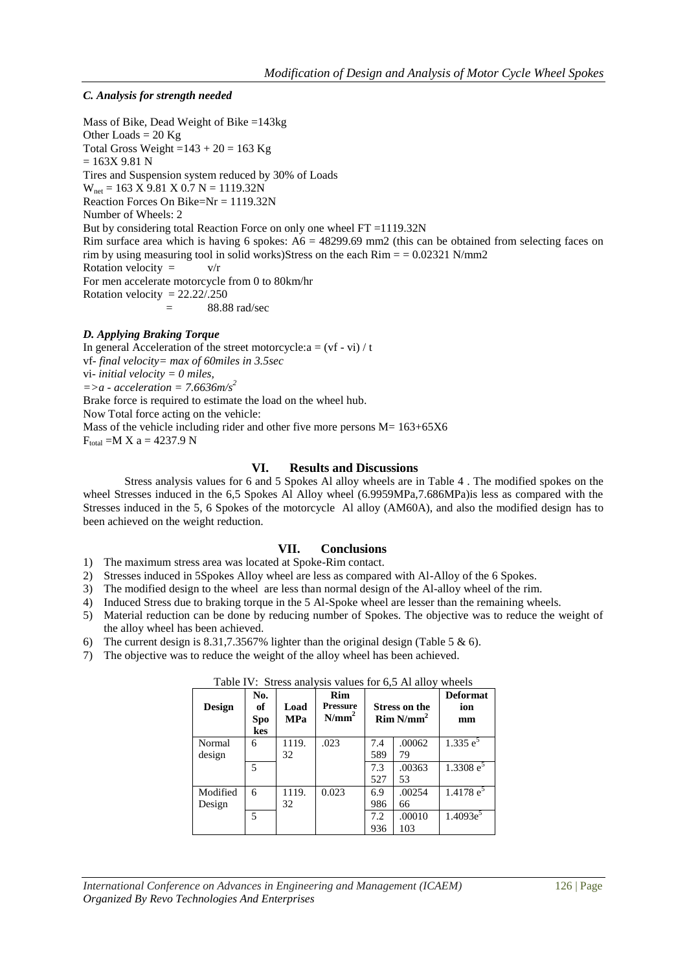# *C. Analysis for strength needed*

Mass of Bike, Dead Weight of Bike =143kg Other Loads  $= 20$  Kg Total Gross Weight = $143 + 20 = 163$  Kg  $= 163X 9.81 N$ Tires and Suspension system reduced by 30% of Loads  $W_{net}$  = 163 X 9.81 X 0.7 N = 1119.32N Reaction Forces On Bike=Nr = 1119.32N Number of Wheels: 2 But by considering total Reaction Force on only one wheel FT =1119.32N Rim surface area which is having 6 spokes:  $A6 = 48299.69$  mm2 (this can be obtained from selecting faces on rim by using measuring tool in solid works)Stress on the each  $Rim = 0.02321$  N/mm2 Rotation velocity =  $v/r$ For men accelerate motorcycle from 0 to 80km/hr Rotation velocity  $= 22.22/0.250$  $=$  88.88 rad/sec

# *D. Applying Braking Torque*

In general Acceleration of the street motorcycle: $a = (vf - vi) / t$ vf*- final velocity= max of 60miles in 3.5sec* vi*- initial velocity = 0 miles, =>a - acceleration = 7.6636m/s<sup>2</sup>* Brake force is required to estimate the load on the wheel hub. Now Total force acting on the vehicle: Mass of the vehicle including rider and other five more persons  $M = 163+65X6$  $F_{total} = M X a = 4237.9 N$ 

# **VI. Results and Discussions**

Stress analysis values for 6 and 5 Spokes Al alloy wheels are in Table 4 . The modified spokes on the wheel Stresses induced in the 6,5 Spokes Al Alloy wheel (6.9959MPa,7.686MPa)is less as compared with the Stresses induced in the 5, 6 Spokes of the motorcycle Al alloy (AM60A), and also the modified design has to been achieved on the weight reduction.

# **VII. Conclusions**

- 1) The maximum stress area was located at Spoke-Rim contact.
- 2) Stresses induced in 5Spokes Alloy wheel are less as compared with Al-Alloy of the 6 Spokes.
- 3) The modified design to the wheel are less than normal design of the Al-alloy wheel of the rim.
- 4) Induced Stress due to braking torque in the 5 Al-Spoke wheel are lesser than the remaining wheels.
- 5) Material reduction can be done by reducing number of Spokes. The objective was to reduce the weight of the alloy wheel has been achieved.
- 6) The current design is 8.31,7.3567% lighter than the original design (Table 5 & 6).
- 7) The objective was to reduce the weight of the alloy wheel has been achieved.

| <b>Design</b> | No.<br>of<br><b>Spo</b><br>kes | Load<br><b>MPa</b> | Rim<br>Pressure<br>$N/mm^2$ |     | Stress on the<br>$Rim N/mm^2$ | <b>Deformat</b><br>ion<br>mm |
|---------------|--------------------------------|--------------------|-----------------------------|-----|-------------------------------|------------------------------|
| Normal        | 6                              | 1119.              | .023                        | 7.4 | .00062                        | 1.335 $e^5$                  |
| design        |                                | 32                 |                             | 589 | 79                            |                              |
|               | 5                              |                    |                             | 7.3 | .00363                        | $1.3308 e^{5}$               |
|               |                                |                    |                             | 527 | 53                            |                              |
| Modified      | 6                              | 1119.              | 0.023                       | 6.9 | .00254                        | 1.4178 $e^5$                 |
| Design        |                                | 32                 |                             | 986 | 66                            |                              |
|               | $\overline{5}$                 |                    |                             | 7.2 | .00010                        | $1.4093e^5$                  |
|               |                                |                    |                             | 936 | 103                           |                              |

Table IV: Stress analysis values for 6,5 Al alloy wheels